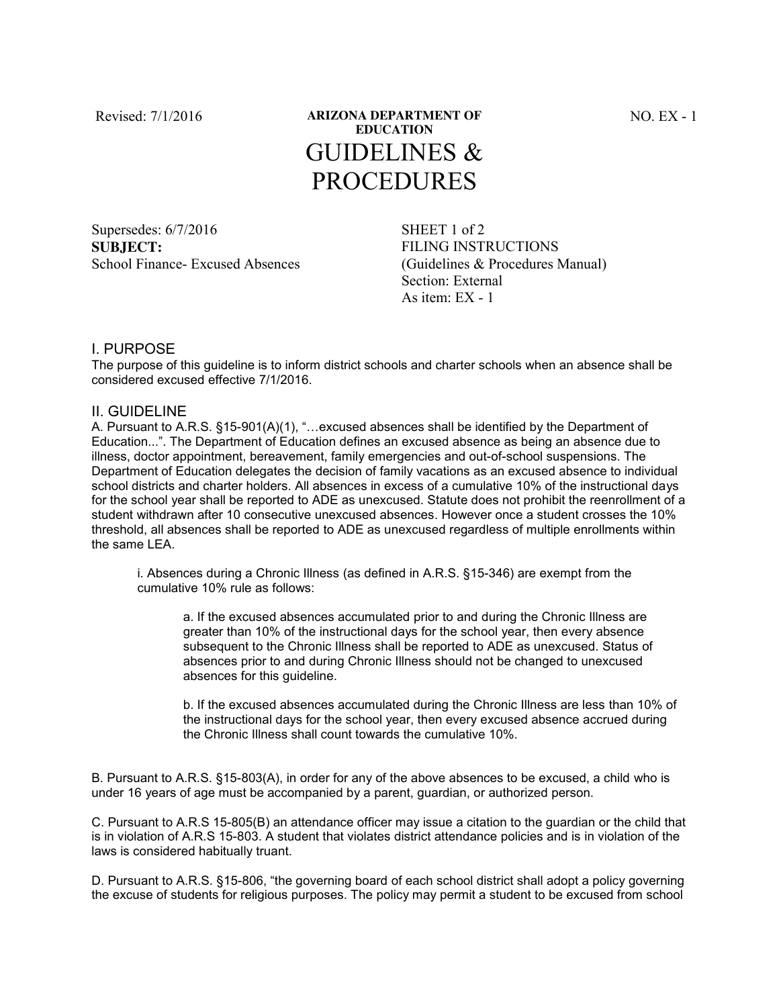## Revised: 7/1/2016 **ARIZONA DEPARTMENT OF EDUCATION** GUIDELINES & PROCEDURES

Supersedes: 6/7/2016 SHEET 1 of 2 **SUBJECT:**  School Finance- Excused Absences

FILING INSTRUCTIONS (Guidelines & Procedures Manual) Section: External As item:  $EX - 1$ 

## I. PURPOSE

The purpose of this guideline is to inform district schools and charter schools when an absence shall be considered excused effective 7/1/2016.

## II. GUIDELINE

A. Pursuant to A.R.S. §15-901(A)(1), "…excused absences shall be identified by the Department of Education...". The Department of Education defines an excused absence as being an absence due to illness, doctor appointment, bereavement, family emergencies and out-of-school suspensions. The Department of Education delegates the decision of family vacations as an excused absence to individual school districts and charter holders. All absences in excess of a cumulative 10% of the instructional days for the school year shall be reported to ADE as unexcused. Statute does not prohibit the reenrollment of a student withdrawn after 10 consecutive unexcused absences. However once a student crosses the 10% threshold, all absences shall be reported to ADE as unexcused regardless of multiple enrollments within the same LEA.

i. Absences during a Chronic Illness (as defined in A.R.S. §15-346) are exempt from the cumulative 10% rule as follows:

a. If the excused absences accumulated prior to and during the Chronic Illness are greater than 10% of the instructional days for the school year, then every absence subsequent to the Chronic Illness shall be reported to ADE as unexcused. Status of absences prior to and during Chronic Illness should not be changed to unexcused absences for this guideline.

b. If the excused absences accumulated during the Chronic Illness are less than 10% of the instructional days for the school year, then every excused absence accrued during the Chronic Illness shall count towards the cumulative 10%.

B. Pursuant to A.R.S. §15-803(A), in order for any of the above absences to be excused, a child who is under 16 years of age must be accompanied by a parent, guardian, or authorized person.

C. Pursuant to A.R.S 15-805(B) an attendance officer may issue a citation to the guardian or the child that is in violation of A.R.S 15-803. A student that violates district attendance policies and is in violation of the laws is considered habitually truant.

D. Pursuant to A.R.S. §15-806, "the governing board of each school district shall adopt a policy governing the excuse of students for religious purposes. The policy may permit a student to be excused from school